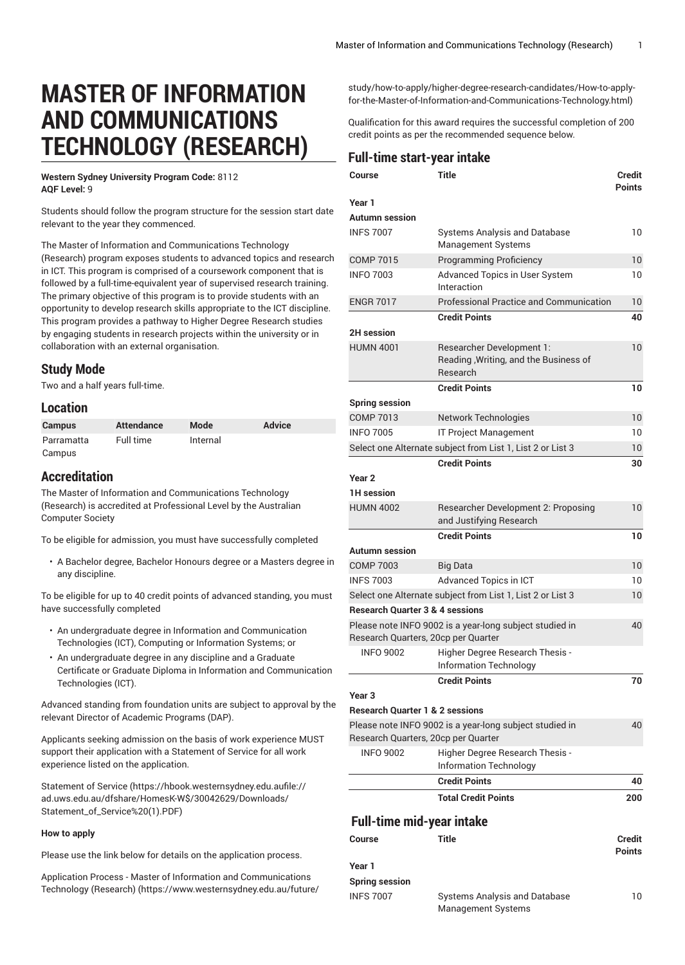# **MASTER OF INFORMATION AND COMMUNICATIONS TECHNOLOGY (RESEARCH)**

**Western Sydney University Program Code:** 8112 **AQF Level:** 9

Students should follow the program structure for the session start date relevant to the year they commenced.

The Master of Information and Communications Technology (Research) program exposes students to advanced topics and research in ICT. This program is comprised of a coursework component that is followed by a full-time-equivalent year of supervised research training. The primary objective of this program is to provide students with an opportunity to develop research skills appropriate to the ICT discipline. This program provides a pathway to Higher Degree Research studies by engaging students in research projects within the university or in collaboration with an external organisation.

## **Study Mode**

Two and a half years full-time.

### **Location**

| <b>Campus</b> | Attendance | Mode     | <b>Advice</b> |
|---------------|------------|----------|---------------|
| Parramatta    | Full time  | Internal |               |
| Campus        |            |          |               |

## **Accreditation**

The Master of Information and Communications Technology (Research) is accredited at Professional Level by the Australian Computer Society

To be eligible for admission, you must have successfully completed

• A Bachelor degree, Bachelor Honours degree or a Masters degree in any discipline.

To be eligible for up to 40 credit points of advanced standing, you must have successfully completed

- An undergraduate degree in Information and Communication Technologies (ICT), Computing or Information Systems; or
- An undergraduate degree in any discipline and a Graduate Certificate or Graduate Diploma in Information and Communication Technologies (ICT).

Advanced standing from foundation units are subject to approval by the relevant Director of Academic Programs (DAP).

Applicants seeking admission on the basis of work experience MUST support their application with a Statement of Service for all work experience listed on the application.

[Statement](https://hbook.westernsydney.edu.aufile://ad.uws.edu.au/dfshare/HomesK-W$/30042629/Downloads/Statement_of_Service%20(1).PDF) of Service [\(https://hbook.westernsydney.edu.aufile://](https://hbook.westernsydney.edu.aufile://ad.uws.edu.au/dfshare/HomesK-W$/30042629/Downloads/Statement_of_Service%20(1).PDF) [ad.uws.edu.au/dfshare/HomesK-W\\$/30042629/Downloads/](https://hbook.westernsydney.edu.aufile://ad.uws.edu.au/dfshare/HomesK-W$/30042629/Downloads/Statement_of_Service%20(1).PDF) [Statement\\_of\\_Service%20\(1\).PDF\)](https://hbook.westernsydney.edu.aufile://ad.uws.edu.au/dfshare/HomesK-W$/30042629/Downloads/Statement_of_Service%20(1).PDF)

#### **How to apply**

Please use the link below for details on the application process.

Application Process - Master of Information and [Communications](https://www.westernsydney.edu.au/future/study/how-to-apply/higher-degree-research-candidates/How-to-apply-for-the-Master-of-Information-and-Communications-Technology.html) [Technology](https://www.westernsydney.edu.au/future/study/how-to-apply/higher-degree-research-candidates/How-to-apply-for-the-Master-of-Information-and-Communications-Technology.html) (Research) [\(https://www.westernsydney.edu.au/future/](https://www.westernsydney.edu.au/future/study/how-to-apply/higher-degree-research-candidates/How-to-apply-for-the-Master-of-Information-and-Communications-Technology.html) [study/how-to-apply/higher-degree-research-candidates/How-to-apply](https://www.westernsydney.edu.au/future/study/how-to-apply/higher-degree-research-candidates/How-to-apply-for-the-Master-of-Information-and-Communications-Technology.html)[for-the-Master-of-Information-and-Communications-Technology.html\)](https://www.westernsydney.edu.au/future/study/how-to-apply/higher-degree-research-candidates/How-to-apply-for-the-Master-of-Information-and-Communications-Technology.html)

Qualification for this award requires the successful completion of 200 credit points as per the recommended sequence below.

### **Full-time start-year intake**

| Course                                     | Title                                                                          | <b>Credit</b><br><b>Points</b> |
|--------------------------------------------|--------------------------------------------------------------------------------|--------------------------------|
| Year 1                                     |                                                                                |                                |
| <b>Autumn</b> session                      |                                                                                |                                |
| <b>INFS 7007</b>                           | <b>Systems Analysis and Database</b><br>Management Systems                     | 10                             |
| <b>COMP 7015</b>                           | <b>Programming Proficiency</b>                                                 | 10                             |
| <b>INFO 7003</b>                           | Advanced Topics in User System<br>Interaction                                  | 10                             |
| <b>ENGR 7017</b>                           | <b>Professional Practice and Communication</b>                                 | 10                             |
|                                            | <b>Credit Points</b>                                                           | 40                             |
| <b>2H</b> session                          |                                                                                |                                |
| <b>HUMN 4001</b>                           | Researcher Development 1:<br>Reading, Writing, and the Business of<br>Research | 10                             |
|                                            | <b>Credit Points</b>                                                           | 10                             |
| <b>Spring session</b>                      |                                                                                |                                |
| <b>COMP 7013</b>                           | Network Technologies                                                           | 10                             |
| <b>INFO 7005</b>                           | IT Project Management                                                          | 10                             |
|                                            | Select one Alternate subject from List 1, List 2 or List 3                     | 10                             |
|                                            | <b>Credit Points</b>                                                           | 30                             |
| Year <sub>2</sub>                          |                                                                                |                                |
| <b>1H</b> session                          |                                                                                |                                |
| <b>HUMN 4002</b>                           | Researcher Development 2: Proposing<br>and Justifying Research                 | 10                             |
|                                            | <b>Credit Points</b>                                                           | 10                             |
| <b>Autumn session</b>                      |                                                                                |                                |
| <b>COMP 7003</b>                           | <b>Big Data</b>                                                                | 10                             |
| <b>INFS 7003</b>                           | Advanced Topics in ICT                                                         | 10                             |
|                                            | Select one Alternate subject from List 1, List 2 or List 3                     | 10                             |
| <b>Research Quarter 3 &amp; 4 sessions</b> |                                                                                |                                |
|                                            | Please note INFO 9002 is a year-long subject studied in                        | 40                             |
| Research Quarters, 20cp per Quarter        |                                                                                |                                |
| <b>INFO 9002</b>                           | Higher Degree Research Thesis -<br><b>Information Technology</b>               |                                |
|                                            | <b>Credit Points</b>                                                           | 70                             |
| Year <sub>3</sub>                          |                                                                                |                                |
| <b>Research Ouarter 1 &amp; 2 sessions</b> |                                                                                |                                |
| Research Quarters, 20cp per Quarter        | Please note INFO 9002 is a year-long subject studied in                        | 40                             |
| <b>INFO 9002</b>                           | Higher Degree Research Thesis -<br><b>Information Technology</b>               |                                |
|                                            | <b>Credit Points</b>                                                           | 40                             |
|                                            | <b>Total Credit Points</b>                                                     | 200                            |
| <b>Full-time mid-year intake</b>           |                                                                                |                                |
| Course                                     | Title                                                                          | Credit<br><b>Points</b>        |
| Year 1                                     |                                                                                |                                |
| <b>Spring session</b>                      |                                                                                |                                |
| <b>INFS 7007</b>                           | Systems Analysis and Database                                                  | 10                             |

Management Systems